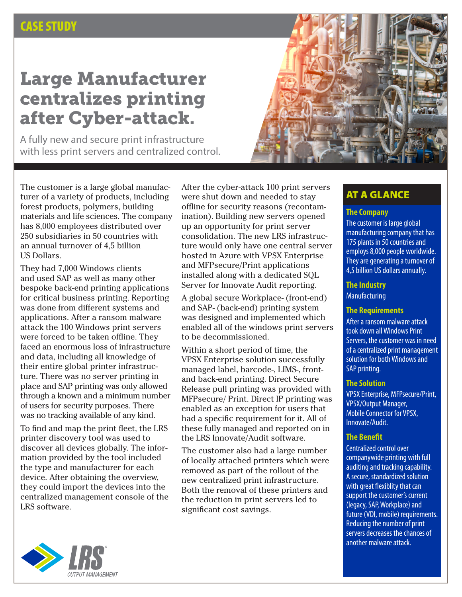### CASE STUDY

# Large Manufacturer centralizes printing after Cyber-attack.

A fully new and secure print infrastructure with less print servers and centralized control.



The customer is a large global manufacturer of a variety of products, including forest products, polymers, building materials and life sciences. The company has 8,000 employees distributed over 250 subsidiaries in 50 countries with an annual turnover of 4,5 billion US Dollars.

They had 7,000 Windows clients and used SAP as well as many other bespoke back-end printing applications for critical business printing. Reporting was done from different systems and applications. After a ransom malware attack the 100 Windows print servers were forced to be taken offline. They faced an enormous loss of infrastructure and data, including all knowledge of their entire global printer infrastructure. There was no server printing in place and SAP printing was only allowed through a known and a minimum number of users for security purposes. There was no tracking available of any kind.

To find and map the print fleet, the LRS printer discovery tool was used to discover all devices globally. The information provided by the tool included the type and manufacturer for each device. After obtaining the overview, they could import the devices into the centralized management console of the LRS software.

After the cyber-attack 100 print servers were shut down and needed to stay offline for security reasons (recontamination). Building new servers opened up an opportunity for print server consolidation. The new LRS infrastructure would only have one central server hosted in Azure with VPSX Enterprise and MFPsecure/Print applications installed along with a dedicated SQL Server for Innovate Audit reporting.

A global secure Workplace- (front-end) and SAP- (back-end) printing system was designed and implemented which enabled all of the windows print servers to be decommissioned.

Within a short period of time, the VPSX Enterprise solution successfully managed label, barcode-, LIMS-, frontand back-end printing. Direct Secure Release pull printing was provided with MFPsecure/ Print. Direct IP printing was enabled as an exception for users that had a specific requirement for it. All of these fully managed and reported on in the LRS Innovate/Audit software.

The customer also had a large number of locally attached printers which were removed as part of the rollout of the new centralized print infrastructure. Both the removal of these printers and the reduction in print servers led to significant cost savings.

### AT A GLANCE

#### **The Company**

The customer is large global manufacturing company that has 175 plants in 50 countries and employs 8,000 people worldwide. They are generating a turnover of 4,5 billion US dollars annually.

#### **The Industry**

**Manufacturing** 

#### **The Requirements**

After a ransom malware attack took down all Windows Print Servers, the customer was in need of a centralized print management solution for both Windows and SAP printing.

#### **The Solution**

VPSX Enterprise, MFPsecure/Print, VPSX/Output Manager, Mobile Connector for VPSX, Innovate/Audit.

### **The Benefit**

Centralized control over companywide printing with full auditing and tracking capability. A secure, standardized solution with great flexiblity that can support the customer's current (legacy, SAP, Workplace) and future (VDI, mobile) requirements. Reducing the number of print servers decreases the chances of another malware attack.